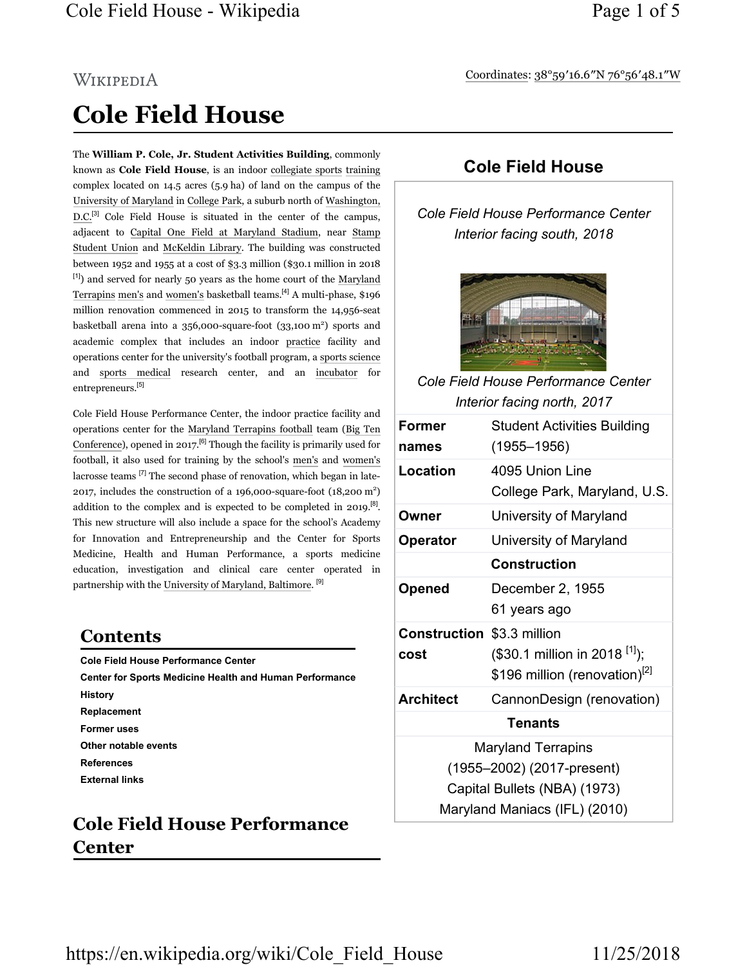#### Coordinates: 38°59′16.6″N 76°56′48.1″W

# WIKIPEDIA Cole Field House

The William P. Cole, Jr. Student Activities Building, commonly known as Cole Field House, is an indoor collegiate sports training complex located on 14.5 acres (5.9 ha) of land on the campus of the University of Maryland in College Park, a suburb north of Washington, D.C.<sup>[3]</sup> Cole Field House is situated in the center of the campus, adjacent to Capital One Field at Maryland Stadium, near Stamp Student Union and McKeldin Library. The building was constructed between 1952 and 1955 at a cost of \$3.3 million (\$30.1 million in 2018 [1]) and served for nearly 50 years as the home court of the Maryland Terrapins men's and women's basketball teams.[4] A multi-phase, \$196 million renovation commenced in 2015 to transform the 14,956-seat basketball arena into a  $356,000$ -square-foot  $(33,100 \text{ m}^2)$  sports and academic complex that includes an indoor practice facility and operations center for the university's football program, a sports science and sports medical research center, and an incubator for entrepreneurs.[5]

Cole Field House Performance Center, the indoor practice facility and operations center for the Maryland Terrapins football team (Big Ten Conference), opened in 2017.<sup>[6]</sup> Though the facility is primarily used for football, it also used for training by the school's men's and women's lacrosse teams [7] The second phase of renovation, which began in late-2017, includes the construction of a 196,000-square-foot  $(18,200 \text{ m}^2)$ addition to the complex and is expected to be completed in 2019.<sup>[8]</sup>. This new structure will also include a space for the school's Academy for Innovation and Entrepreneurship and the Center for Sports Medicine, Health and Human Performance, a sports medicine education, investigation and clinical care center operated in partnership with the University of Maryland, Baltimore. [9]

#### Contents

Cole Field House Performance Center Center for Sports Medicine Health and Human Performance History Replacement Former uses Other notable events References External links

# Cole Field House Performance Center

#### Cole Field House

Cole Field House Performance Center Interior facing south, 2018



Cole Field House Performance Center Interior facing north, 2017

| Former                            | <b>Student Activities Building</b>          |
|-----------------------------------|---------------------------------------------|
| names                             | $(1955 - 1956)$                             |
| Location                          | 4095 Union Line                             |
|                                   | College Park, Maryland, U.S.                |
| Owner                             | University of Maryland                      |
| Operator                          | University of Maryland                      |
|                                   | <b>Construction</b>                         |
| <b>Opened</b>                     | December 2, 1955                            |
|                                   | 61 years ago                                |
| <b>Construction \$3.3 million</b> |                                             |
| cost                              | $(\$30.1$ million in 2018 <sup>[1]</sup> ); |
|                                   | \$196 million (renovation) <sup>[2]</sup>   |
| <b>Architect</b>                  | CannonDesign (renovation)                   |
| <b>Tenants</b>                    |                                             |
| <b>Maryland Terrapins</b>         |                                             |
| (1955–2002) (2017-present)        |                                             |
| Capital Bullets (NBA) (1973)      |                                             |
| Maryland Maniacs (IFL) (2010)     |                                             |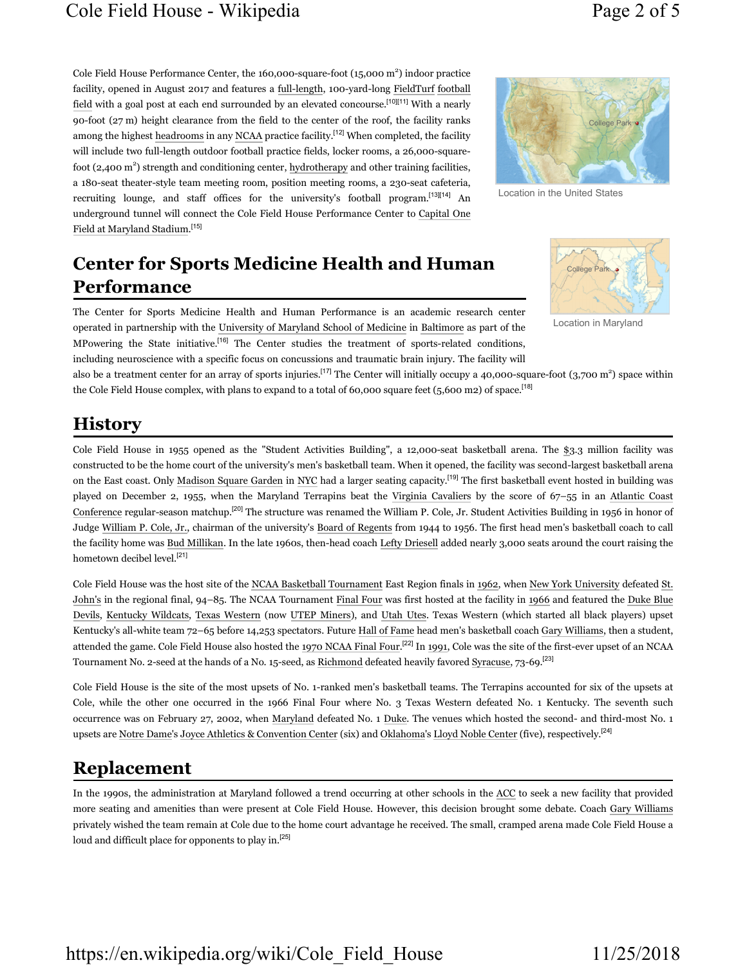Cole Field House Performance Center, the 160,000-square-foot (15,000 m<sup>2</sup>) indoor practice facility, opened in August 2017 and features a full-length, 100-yard-long FieldTurf football field with a goal post at each end surrounded by an elevated concourse.<sup>[10][11]</sup> With a nearly 90-foot (27 m) height clearance from the field to the center of the roof, the facility ranks among the highest headrooms in any NCAA practice facility.<sup>[12]</sup> When completed, the facility will include two full-length outdoor football practice fields, locker rooms, a 26,000-squarefoot (2,400 m<sup>2</sup>) strength and conditioning center, hydrotherapy and other training facilities, a 180-seat theater-style team meeting room, position meeting rooms, a 230-seat cafeteria, recruiting lounge, and staff offices for the university's football program.<sup>[13][14]</sup> An



Location in the United States

# Center for Sports Medicine Health and Human Performance

underground tunnel will connect the Cole Field House Performance Center to Capital One

The Center for Sports Medicine Health and Human Performance is an academic research center operated in partnership with the University of Maryland School of Medicine in Baltimore as part of the MPowering the State initiative.[16] The Center studies the treatment of sports-related conditions, including neuroscience with a specific focus on concussions and traumatic brain injury. The facility will



Location in Maryland

also be a treatment center for an array of sports injuries.<sup>[17]</sup> The Center will initially occupy a 40,000-square-foot (3,700 m<sup>2</sup>) space within the Cole Field House complex, with plans to expand to a total of 60,000 square feet (5,600 m2) of space.<sup>[18]</sup>

#### **History**

Field at Maryland Stadium.[15]

Cole Field House in 1955 opened as the "Student Activities Building", a 12,000-seat basketball arena. The \$3.3 million facility was constructed to be the home court of the university's men's basketball team. When it opened, the facility was second-largest basketball arena on the East coast. Only Madison Square Garden in NYC had a larger seating capacity.<sup>[19]</sup> The first basketball event hosted in building was played on December 2, 1955, when the Maryland Terrapins beat the Virginia Cavaliers by the score of 67–55 in an Atlantic Coast Conference regular-season matchup.<sup>[20]</sup> The structure was renamed the William P. Cole, Jr. Student Activities Building in 1956 in honor of Judge William P. Cole, Jr., chairman of the university's Board of Regents from 1944 to 1956. The first head men's basketball coach to call the facility home was Bud Millikan. In the late 1960s, then-head coach Lefty Driesell added nearly 3,000 seats around the court raising the hometown decibel level.<sup>[21]</sup>

Cole Field House was the host site of the NCAA Basketball Tournament East Region finals in 1962, when New York University defeated St. John's in the regional final, 94–85. The NCAA Tournament Final Four was first hosted at the facility in 1966 and featured the Duke Blue Devils, Kentucky Wildcats, Texas Western (now UTEP Miners), and Utah Utes. Texas Western (which started all black players) upset Kentucky's all-white team 72–65 before 14,253 spectators. Future Hall of Fame head men's basketball coach Gary Williams, then a student, attended the game. Cole Field House also hosted the 1970 NCAA Final Four.[22] In 1991, Cole was the site of the first-ever upset of an NCAA Tournament No. 2-seed at the hands of a No. 15-seed, as Richmond defeated heavily favored Syracuse, 73-69.[23]

Cole Field House is the site of the most upsets of No. 1-ranked men's basketball teams. The Terrapins accounted for six of the upsets at Cole, while the other one occurred in the 1966 Final Four where No. 3 Texas Western defeated No. 1 Kentucky. The seventh such occurrence was on February 27, 2002, when Maryland defeated No. 1 Duke. The venues which hosted the second- and third-most No. 1 upsets are Notre Dame's Joyce Athletics & Convention Center (six) and Oklahoma's Lloyd Noble Center (five), respectively.<sup>[24]</sup>

#### Replacement

In the 1990s, the administration at Maryland followed a trend occurring at other schools in the ACC to seek a new facility that provided more seating and amenities than were present at Cole Field House. However, this decision brought some debate. Coach Gary Williams privately wished the team remain at Cole due to the home court advantage he received. The small, cramped arena made Cole Field House a loud and difficult place for opponents to play in.[25]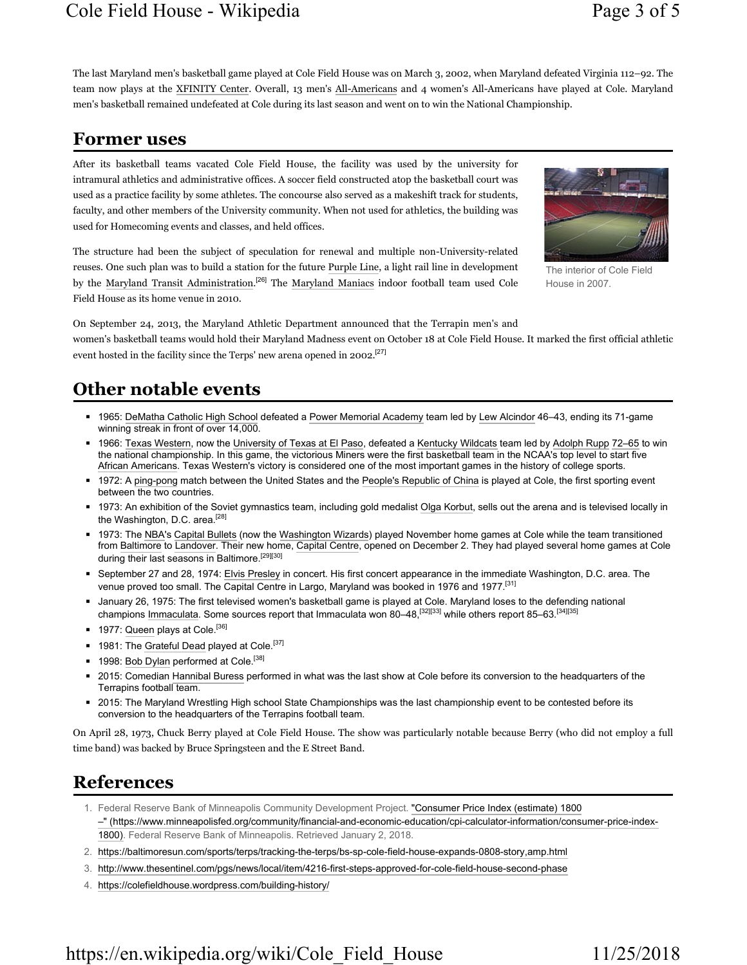#### Cole Field House - Wikipedia Page 3 of 5

The last Maryland men's basketball game played at Cole Field House was on March 3, 2002, when Maryland defeated Virginia 112–92. The team now plays at the XFINITY Center. Overall, 13 men's All-Americans and 4 women's All-Americans have played at Cole. Maryland men's basketball remained undefeated at Cole during its last season and went on to win the National Championship.

#### Former uses

After its basketball teams vacated Cole Field House, the facility was used by the university for intramural athletics and administrative offices. A soccer field constructed atop the basketball court was used as a practice facility by some athletes. The concourse also served as a makeshift track for students, faculty, and other members of the University community. When not used for athletics, the building was used for Homecoming events and classes, and held offices.



The interior of Cole Field House in 2007.

The structure had been the subject of speculation for renewal and multiple non-University-related reuses. One such plan was to build a station for the future Purple Line, a light rail line in development by the Maryland Transit Administration.<sup>[26]</sup> The Maryland Maniacs indoor football team used Cole Field House as its home venue in 2010.

On September 24, 2013, the Maryland Athletic Department announced that the Terrapin men's and women's basketball teams would hold their Maryland Madness event on October 18 at Cole Field House. It marked the first official athletic event hosted in the facility since the Terps' new arena opened in 2002.<sup>[27]</sup>

#### Other notable events

- 1965: DeMatha Catholic High School defeated a Power Memorial Academy team led by Lew Alcindor 46–43, ending its 71-game winning streak in front of over 14,000.
- 1966: Texas Western, now the University of Texas at El Paso, defeated a Kentucky Wildcats team led by Adolph Rupp 72–65 to win the national championship. In this game, the victorious Miners were the first basketball team in the NCAA's top level to start five African Americans. Texas Western's victory is considered one of the most important games in the history of college sports.
- 1972: A ping-pong match between the United States and the People's Republic of China is played at Cole, the first sporting event between the two countries.
- 1973: An exhibition of the Soviet gymnastics team, including gold medalist Olga Korbut, sells out the arena and is televised locally in the Washington, D.C. area.<sup>[28]</sup>
- 1973: The NBA's Capital Bullets (now the Washington Wizards) played November home games at Cole while the team transitioned from Baltimore to Landover. Their new home, Capital Centre, opened on December 2. They had played several home games at Cole during their last seasons in Baltimore.<sup>[29][30]</sup>
- September 27 and 28, 1974: Elvis Presley in concert. His first concert appearance in the immediate Washington, D.C. area. The venue proved too small. The Capital Centre in Largo, Maryland was booked in 1976 and 1977.<sup>[31]</sup>
- January 26, 1975: The first televised women's basketball game is played at Cole. Maryland loses to the defending national champions Immaculata. Some sources report that Immaculata won 80–48,<sup>[32][33]</sup> while others report 85–63.<sup>[34][35]</sup>
- 1977: Queen plays at Cole.<sup>[36]</sup>
- $\blacksquare$  1981: The Grateful Dead played at Cole.<sup>[37]</sup>
- 1998: Bob Dylan performed at Cole.<sup>[38]</sup>
- 2015: Comedian Hannibal Buress performed in what was the last show at Cole before its conversion to the headquarters of the Terrapins football team.
- 2015: The Maryland Wrestling High school State Championships was the last championship event to be contested before its conversion to the headquarters of the Terrapins football team.

On April 28, 1973, Chuck Berry played at Cole Field House. The show was particularly notable because Berry (who did not employ a full time band) was backed by Bruce Springsteen and the E Street Band.

## References

- 1. Federal Reserve Bank of Minneapolis Community Development Project. "Consumer Price Index (estimate) 1800 –" (https://www.minneapolisfed.org/community/financial-and-economic-education/cpi-calculator-information/consumer-price-index-1800). Federal Reserve Bank of Minneapolis. Retrieved January 2, 2018.
- 2. https://baltimoresun.com/sports/terps/tracking-the-terps/bs-sp-cole-field-house-expands-0808-story,amp.html
- 3. http://www.thesentinel.com/pgs/news/local/item/4216-first-steps-approved-for-cole-field-house-second-phase
- 4. https://colefieldhouse.wordpress.com/building-history/

## https://en.wikipedia.org/wiki/Cole Field House 11/25/2018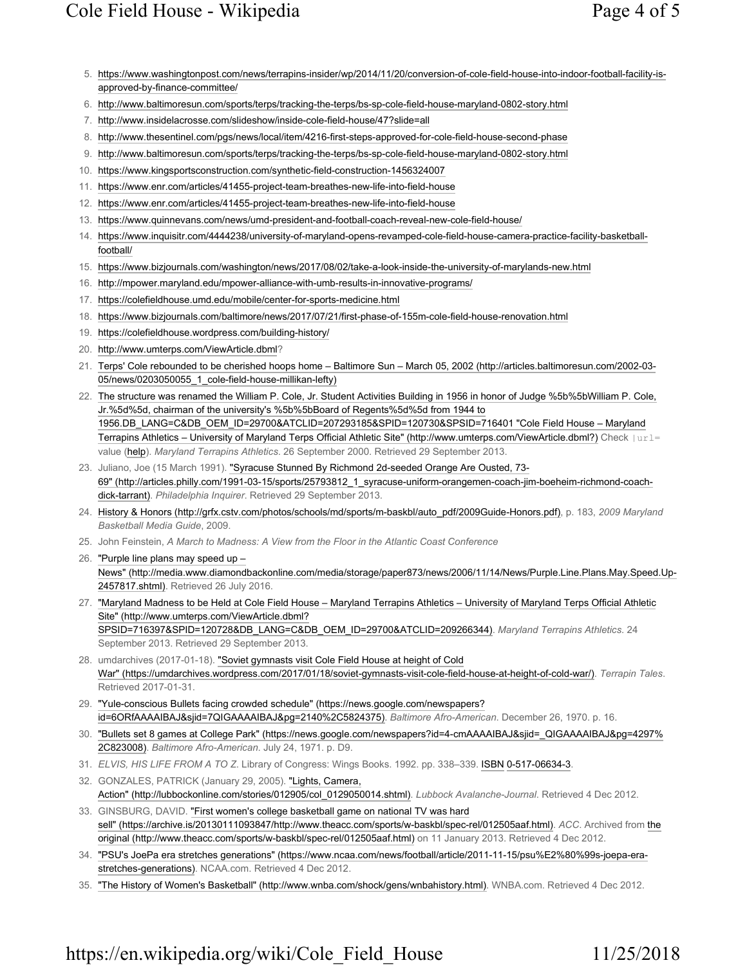- 5. https://www.washingtonpost.com/news/terrapins-insider/wp/2014/11/20/conversion-of-cole-field-house-into-indoor-football-facility-isapproved-by-finance-committee/
- 6. http://www.baltimoresun.com/sports/terps/tracking-the-terps/bs-sp-cole-field-house-maryland-0802-story.html
- 7. http://www.insidelacrosse.com/slideshow/inside-cole-field-house/47?slide=all
- 8. http://www.thesentinel.com/pgs/news/local/item/4216-first-steps-approved-for-cole-field-house-second-phase
- 9. http://www.baltimoresun.com/sports/terps/tracking-the-terps/bs-sp-cole-field-house-maryland-0802-story.html
- 10. https://www.kingsportsconstruction.com/synthetic-field-construction-1456324007
- 11. https://www.enr.com/articles/41455-project-team-breathes-new-life-into-field-house
- 12. https://www.enr.com/articles/41455-project-team-breathes-new-life-into-field-house
- 13. https://www.quinnevans.com/news/umd-president-and-football-coach-reveal-new-cole-field-house/
- 14. https://www.inquisitr.com/4444238/university-of-maryland-opens-revamped-cole-field-house-camera-practice-facility-basketballfootball/
- 15. https://www.bizjournals.com/washington/news/2017/08/02/take-a-look-inside-the-university-of-marylands-new.html
- 16. http://mpower.maryland.edu/mpower-alliance-with-umb-results-in-innovative-programs/
- 17. https://colefieldhouse.umd.edu/mobile/center-for-sports-medicine.html
- 18. https://www.bizjournals.com/baltimore/news/2017/07/21/first-phase-of-155m-cole-field-house-renovation.html
- 19. https://colefieldhouse.wordpress.com/building-history/
- 20. http://www.umterps.com/ViewArticle.dbml?
- 21. Terps' Cole rebounded to be cherished hoops home Baltimore Sun March 05, 2002 (http://articles.baltimoresun.com/2002-03- 05/news/0203050055\_1\_cole-field-house-millikan-lefty)
- 22. The structure was renamed the William P. Cole, Jr. Student Activities Building in 1956 in honor of Judge %5b%5bWilliam P. Cole, Jr.%5d%5d, chairman of the university's %5b%5bBoard of Regents%5d%5d from 1944 to 1956.DB\_LANG=C&DB\_OEM\_ID=29700&ATCLID=207293185&SPID=120730&SPSID=716401 "Cole Field House – Maryland Terrapins Athletics – University of Maryland Terps Official Athletic Site" (http://www.umterps.com/ViewArticle.dbml?) Check |url= value (help). Maryland Terrapins Athletics. 26 September 2000. Retrieved 29 September 2013.
- 23. Juliano, Joe (15 March 1991). "Syracuse Stunned By Richmond 2d-seeded Orange Are Ousted, 73- 69" (http://articles.philly.com/1991-03-15/sports/25793812\_1\_syracuse-uniform-orangemen-coach-jim-boeheim-richmond-coachdick-tarrant). Philadelphia Inquirer. Retrieved 29 September 2013.
- 24. History & Honors (http://grfx.cstv.com/photos/schools/md/sports/m-baskbl/auto\_pdf/2009Guide-Honors.pdf), p. 183, 2009 Maryland Basketball Media Guide, 2009.
- 25. John Feinstein, A March to Madness: A View from the Floor in the Atlantic Coast Conference
- 26. "Purple line plans may speed up News" (http://media.www.diamondbackonline.com/media/storage/paper873/news/2006/11/14/News/Purple.Line.Plans.May.Speed.Up-2457817.shtml). Retrieved 26 July 2016.
- 27. "Maryland Madness to be Held at Cole Field House Maryland Terrapins Athletics University of Maryland Terps Official Athletic Site" (http://www.umterps.com/ViewArticle.dbml? SPSID=716397&SPID=120728&DB\_LANG=C&DB\_OEM\_ID=29700&ATCLID=209266344). Maryland Terrapins Athletics. 24 September 2013. Retrieved 29 September 2013.
- 28. umdarchives (2017-01-18). "Soviet gymnasts visit Cole Field House at height of Cold War" (https://umdarchives.wordpress.com/2017/01/18/soviet-gymnasts-visit-cole-field-house-at-height-of-cold-war/). Terrapin Tales. Retrieved 2017-01-31.
- 29. "Yule-conscious Bullets facing crowded schedule" (https://news.google.com/newspapers? id=6ORfAAAAIBAJ&sjid=7QIGAAAAIBAJ&pg=2140%2C5824375). Baltimore Afro-American. December 26, 1970. p. 16.
- 30. "Bullets set 8 games at College Park" (https://news.google.com/newspapers?id=4-cmAAAAIBAJ&sjid=\_QIGAAAAIBAJ&pg=4297% 2C823008). Baltimore Afro-American. July 24, 1971. p. D9.
- 31. ELVIS, HIS LIFE FROM A TO Z. Library of Congress: Wings Books. 1992. pp. 338-339. ISBN 0-517-06634-3.
- 32. GONZALES, PATRICK (January 29, 2005). "Lights, Camera, Action" (http://lubbockonline.com/stories/012905/col\_0129050014.shtml). Lubbock Avalanche-Journal. Retrieved 4 Dec 2012.
- 33. GINSBURG, DAVID. "First women's college basketball game on national TV was hard sell" (https://archive.is/20130111093847/http://www.theacc.com/sports/w-baskbl/spec-rel/012505aaf.html). ACC. Archived from the original (http://www.theacc.com/sports/w-baskbl/spec-rel/012505aaf.html) on 11 January 2013. Retrieved 4 Dec 2012.
- 34. "PSU's JoePa era stretches generations" (https://www.ncaa.com/news/football/article/2011-11-15/psu%E2%80%99s-joepa-erastretches-generations). NCAA.com. Retrieved 4 Dec 2012.
- 35. "The History of Women's Basketball" (http://www.wnba.com/shock/gens/wnbahistory.html). WNBA.com. Retrieved 4 Dec 2012.